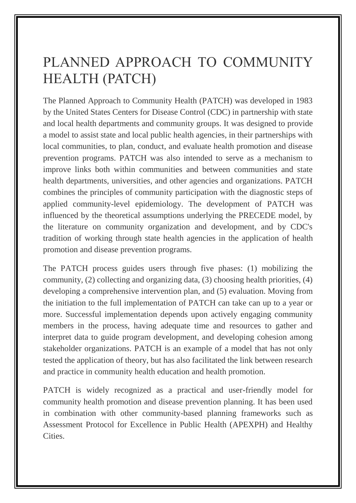## PLANNED APPROACH TO COMMUNITY HEALTH (PATCH)

The Planned Approach to Community Health (PATCH) was developed in 1983 by the United States Centers for Disease Control (CDC) in partnership with state and local health departments and community groups. It was designed to provide a model to assist state and local public health agencies, in their partnerships with local communities, to plan, conduct, and evaluate health promotion and disease prevention programs. PATCH was also intended to serve as a mechanism to improve links both within communities and between communities and state health departments, universities, and other agencies and organizations. PATCH combines the principles of community participation with the diagnostic steps of applied community-level epidemiology. The development of PATCH was influenced by the theoretical assumptions underlying the PRECEDE model, by the literature on community organization and development, and by CDC's tradition of working through state health agencies in the application of health promotion and disease prevention programs.

The PATCH process guides users through five phases: (1) mobilizing the community, (2) collecting and organizing data, (3) choosing health priorities, (4) developing a comprehensive intervention plan, and (5) evaluation. Moving from the initiation to the full implementation of PATCH can take can up to a year or more. Successful implementation depends upon actively engaging community members in the process, having adequate time and resources to gather and interpret data to guide program development, and developing cohesion among stakeholder organizations. PATCH is an example of a model that has not only tested the application of theory, but has also facilitated the link between research and practice in community health education and health promotion.

PATCH is widely recognized as a practical and user-friendly model for community health promotion and disease prevention planning. It has been used in combination with other community-based planning frameworks such as Assessment Protocol for Excellence in Public Health (APEXPH) and Healthy **Cities**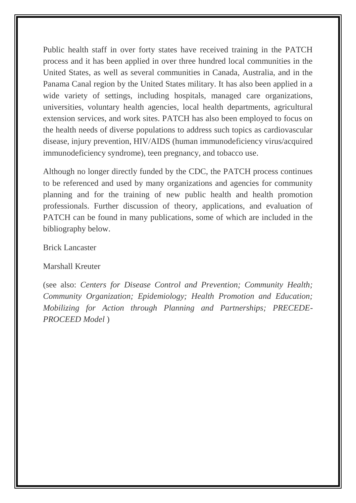Public health staff in over forty states have received training in the PATCH process and it has been applied in over three hundred local communities in the United States, as well as several communities in Canada, Australia, and in the Panama Canal region by the United States military. It has also been applied in a wide variety of settings, including hospitals, managed care organizations, universities, voluntary health agencies, local health departments, agricultural extension services, and work sites. PATCH has also been employed to focus on the health needs of diverse populations to address such topics as cardiovascular disease, injury prevention, HIV/AIDS (human immunodeficiency virus/acquired immunodeficiency syndrome), teen pregnancy, and tobacco use.

Although no longer directly funded by the CDC, the PATCH process continues to be referenced and used by many organizations and agencies for community planning and for the training of new public health and health promotion professionals. Further discussion of theory, applications, and evaluation of PATCH can be found in many publications, some of which are included in the bibliography below.

Brick Lancaster

Marshall Kreuter

(see also: *Centers for Disease Control and Prevention; Community Health; Community Organization; Epidemiology; Health Promotion and Education; Mobilizing for Action through Planning and Partnerships; PRECEDE-PROCEED Model* )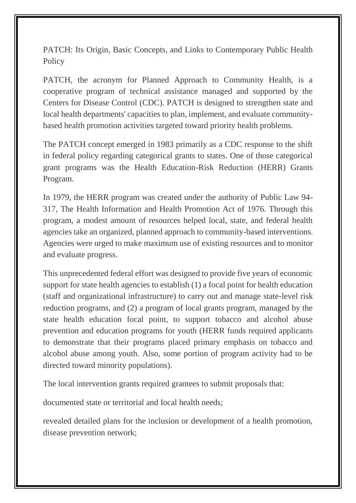PATCH: Its Origin, Basic Concepts, and Links to Contemporary Public Health **Policy** 

PATCH, the acronym for Planned Approach to Community Health, is a cooperative program of technical assistance managed and supported by the Centers for Disease Control (CDC). PATCH is designed to strengthen state and local health departments' capacities to plan, implement, and evaluate communitybased health promotion activities targeted toward priority health problems.

The PATCH concept emerged in 1983 primarily as a CDC response to the shift in federal policy regarding categorical grants to states. One of those categorical grant programs was the Health Education-Risk Reduction (HERR) Grants Program.

In 1979, the HERR program was created under the authority of Public Law 94- 317, The Health Information and Health Promotion Act of 1976. Through this program, a modest amount of resources helped local, state, and federal health agencies take an organized, planned approach to community-based interventions. Agencies were urged to make maximum use of existing resources and to monitor and evaluate progress.

This unprecedented federal effort was designed to provide five years of economic support for state health agencies to establish (1) a focal point for health education (staff and organizational infrastructure) to carry out and manage state-level risk reduction programs, and (2) a program of local grants program, managed by the state health education focal point, to support tobacco and alcohol abuse prevention and education programs for youth (HERR funds required applicants to demonstrate that their programs placed primary emphasis on tobacco and alcohol abuse among youth. Also, some portion of program activity had to be directed toward minority populations).

The local intervention grants required grantees to submit proposals that:

documented state or territorial and Iocal health needs;

revealed detailed plans for the inclusion or development of a health promotion, disease prevention network;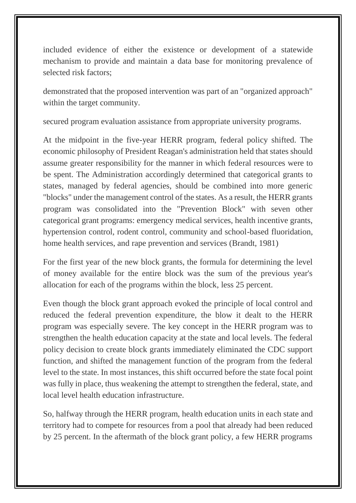included evidence of either the existence or development of a statewide mechanism to provide and maintain a data base for monitoring prevalence of selected risk factors;

demonstrated that the proposed intervention was part of an "organized approach" within the target community.

secured program evaluation assistance from appropriate university programs.

At the midpoint in the five-year HERR program, federal policy shifted. The economic philosophy of President Reagan's administration held that states should assume greater responsibility for the manner in which federal resources were to be spent. The Administration accordingly determined that categorical grants to states, managed by federal agencies, should be combined into more generic "blocks" under the management control of the states. As a result, the HERR grants program was consolidated into the "Prevention Block" with seven other categorical grant programs: emergency medical services, health incentive grants, hypertension control, rodent control, community and school-based fluoridation, home health services, and rape prevention and services (Brandt, 1981)

For the first year of the new block grants, the formula for determining the level of money available for the entire block was the sum of the previous year's allocation for each of the programs within the block, less 25 percent.

Even though the block grant approach evoked the principle of local control and reduced the federal prevention expenditure, the blow it dealt to the HERR program was especially severe. The key concept in the HERR program was to strengthen the health education capacity at the state and local levels. The federal policy decision to create block grants immediately eliminated the CDC support function, and shifted the management function of the program from the federal level to the state. In most instances, this shift occurred before the state focal point was fully in place, thus weakening the attempt to strengthen the federal, state, and local level health education infrastructure.

So, halfway through the HERR program, health education units in each state and territory had to compete for resources from a pool that already had been reduced by 25 percent. In the aftermath of the block grant policy, a few HERR programs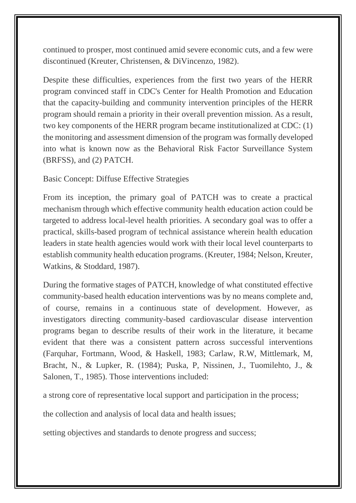continued to prosper, most continued amid severe economic cuts, and a few were discontinued (Kreuter, Christensen, & DiVincenzo, 1982).

Despite these difficulties, experiences from the first two years of the HERR program convinced staff in CDC's Center for Health Promotion and Education that the capacity-building and community intervention principles of the HERR program should remain a priority in their overall prevention mission. As a result, two key components of the HERR program became institutionalized at CDC: (1) the monitoring and assessment dimension of the program was formally developed into what is known now as the Behavioral Risk Factor Surveillance System (BRFSS), and (2) PATCH.

Basic Concept: Diffuse Effective Strategies

From its inception, the primary goal of PATCH was to create a practical mechanism through which effective community health education action could be targeted to address local-level health priorities. A secondary goal was to offer a practical, skills-based program of technical assistance wherein health education leaders in state health agencies would work with their local level counterparts to establish community health education programs. (Kreuter, 1984; Nelson, Kreuter, Watkins, & Stoddard, 1987).

During the formative stages of PATCH, knowledge of what constituted effective community-based health education interventions was by no means complete and, of course, remains in a continuous state of development. However, as investigators directing community-based cardiovascular disease intervention programs began to describe results of their work in the literature, it became evident that there was a consistent pattern across successful interventions (Farquhar, Fortmann, Wood, & Haskell, 1983; Carlaw, R.W, Mittlemark, M, Bracht, N., & Lupker, R. (1984); Puska, P, Nissinen, J., Tuomilehto, J., & Salonen, T., 1985). Those interventions included:

a strong core of representative local support and participation in the process;

the collection and analysis of local data and health issues;

setting objectives and standards to denote progress and success;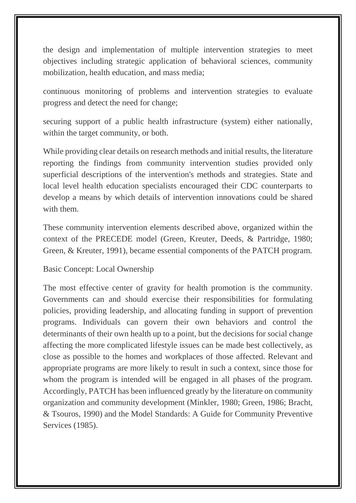the design and implementation of multiple intervention strategies to meet objectives including strategic application of behavioral sciences, community mobilization, health education, and mass media;

continuous monitoring of problems and intervention strategies to evaluate progress and detect the need for change;

securing support of a public health infrastructure (system) either nationally, within the target community, or both.

While providing clear details on research methods and initial results, the literature reporting the findings from community intervention studies provided only superficial descriptions of the intervention's methods and strategies. State and local level health education specialists encouraged their CDC counterparts to develop a means by which details of intervention innovations could be shared with them.

These community intervention elements described above, organized within the context of the PRECEDE model (Green, Kreuter, Deeds, & Partridge, 1980; Green, & Kreuter, 1991), became essential components of the PATCH program.

Basic Concept: Local Ownership

The most effective center of gravity for health promotion is the community. Governments can and should exercise their responsibilities for formulating policies, providing leadership, and allocating funding in support of prevention programs. Individuals can govern their own behaviors and control the determinants of their own health up to a point, but the decisions for social change affecting the more complicated lifestyle issues can be made best collectively, as close as possible to the homes and workplaces of those affected. Relevant and appropriate programs are more likely to result in such a context, since those for whom the program is intended will be engaged in all phases of the program. Accordingly, PATCH has been influenced greatly by the literature on community organization and community development (Minkler, 1980; Green, 1986; Bracht, & Tsouros, 1990) and the Model Standards: A Guide for Community Preventive Services (1985).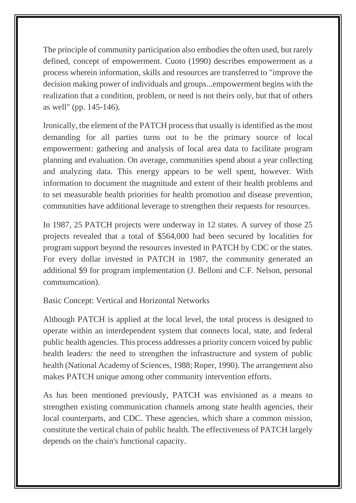The principle of community participation also embodies the often used, but rarely defined, concept of empowerment. Cuoto (1990) describes empowerment as a process wherein information, skills and resources are transferred to "improve the decision making power of individuals and groups...empowerment begins with the realization that a condition, problem, or need is not theirs only, but that of others as well" (pp. 145-146).

Ironically, the element of the PATCH process that usually is identified as the most demanding for all parties turns out to be the primary source of local empowerment: gathering and analysis of local area data to facilitate program planning and evaluation. On average, communities spend about a year collecting and analyzing data. This energy appears to be well spent, however. With information to document the magnitude and extent of their health problems and to set measurable health priorities for health promotion and disease prevention, communities have additional leverage to strengthen their requests for resources.

In 1987, 25 PATCH projects were underway in 12 states. A survey of those 25 projects revealed that a total of \$564,000 had been secured by localities for program support beyond the resources invested in PATCH by CDC or the states. For every dollar invested in PATCH in 1987, the community generated an additional \$9 for program implementation (J. Belloni and C.F. Nelson, personal commumcation).

Basic Concept: Vertical and Horizontal Networks

Although PATCH is applied at the local level, the total process is designed to operate within an interdependent system that connects local, state, and federal public health agencies. This process addresses a priority concern voiced by public health leaders: the need to strengthen the infrastructure and system of public health (National Academy of Sciences, 1988; Roper, 1990). The arrangement also makes PATCH unique among other community intervention efforts.

As has been mentioned previously, PATCH was envisioned as a means to strengthen existing communication channels among state health agencies, their local counterparts, and CDC. These agencies, which share a common mission, constitute the vertical chain of public health. The effectiveness of PATCH largely depends on the chain's functional capacity.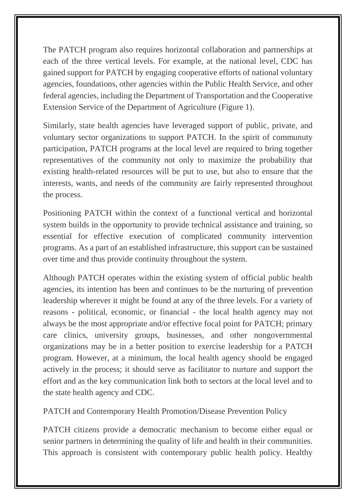The PATCH program also requires horizontal collaboration and partnerships at each of the three vertical levels. For example, at the national level, CDC has gained support for PATCH by engaging cooperative efforts of national voluntary agencies, foundations, other agencies within the Public Health Service, and other federal agencies, including the Department of Transportation and the Cooperative Extension Service of the Department of Agriculture [\(Figure 1\)](http://wonder.cdc.gov/wonder/prevguid/p0000064/p0000064.asp#Figure_1).

Similarly, state health agencies have leveraged support of public, private, and voluntary sector organizations to support PATCH. In the spirit of communuty participation, PATCH programs at the local level are required to bring together representatives of the community not only to maximize the probability that existing health-related resources will be put to use, but also to ensure that the interests, wants, and needs of the community are fairly represented throughout the process.

Positioning PATCH within the context of a functional vertical and horizontal system builds in the opportunity to provide technical assistance and training, so essential for effective execution of complicated community intervention programs. As a part of an established infrastructure, this support can be sustained over time and thus provide continuity throughout the system.

Although PATCH operates within the existing system of official public health agencies, its intention has been and continues to be the nurturing of prevention leadership wherever it might be found at any of the three levels. For a variety of reasons - political, economic, or financial - the local health agency may not always be the most appropriate and/or effective focal point for PATCH; primary care clinics, university groups, businesses, and other nongovernmental organizations may be in a better position to exercise leadership for a PATCH program. However, at a minimum, the local health agency should be engaged actively in the process; it should serve as facilitator to nurture and support the effort and as the key communication link both to sectors at the local level and to the state health agency and CDC.

PATCH and Contemporary Health Promotion/Disease Prevention Policy

PATCH citizens provide a democratic mechanism to become either equal or senior partners in determining the quality of life and health in their communities. This approach is consistent with contemporary public health policy. Healthy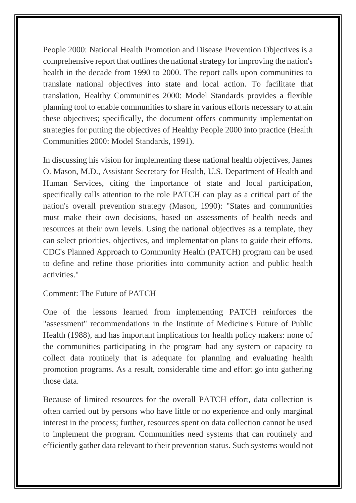People 2000: National Health Promotion and Disease Prevention Objectives is a comprehensive report that outlines the national strategy for improving the nation's health in the decade from 1990 to 2000. The report calls upon communities to translate national objectives into state and local action. To facilitate that translation, Healthy Communities 2000: Model Standards provides a flexible planning tool to enable communities to share in various efforts necessary to attain these objectives; specifically, the document offers community implementation strategies for putting the objectives of Healthy People 2000 into practice (Health Communities 2000: Model Standards, 1991).

In discussing his vision for implementing these national health objectives, James O. Mason, M.D., Assistant Secretary for Health, U.S. Department of Health and Human Services, citing the importance of state and local participation, specifically calls attention to the role PATCH can play as a critical part of the nation's overall prevention strategy (Mason, 1990): "States and communities must make their own decisions, based on assessments of health needs and resources at their own levels. Using the national objectives as a template, they can select priorities, objectives, and implementation plans to guide their efforts. CDC's Planned Approach to Community Health (PATCH) program can be used to define and refine those priorities into community action and public health activities."

## Comment: The Future of PATCH

One of the lessons learned from implementing PATCH reinforces the "assessment" recommendations in the Institute of Medicine's Future of Public Health (1988), and has important implications for health policy makers: none of the communities participating in the program had any system or capacity to collect data routinely that is adequate for planning and evaluating health promotion programs. As a result, considerable time and effort go into gathering those data.

Because of limited resources for the overall PATCH effort, data collection is often carried out by persons who have little or no experience and only marginal interest in the process; further, resources spent on data collection cannot be used to implement the program. Communities need systems that can routinely and efficiently gather data relevant to their prevention status. Such systems would not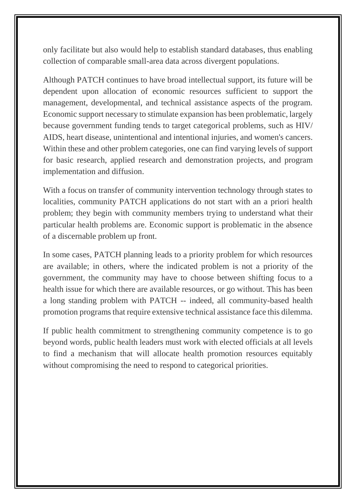only facilitate but also would help to establish standard databases, thus enabling collection of comparable small-area data across divergent populations.

Although PATCH continues to have broad intellectual support, its future will be dependent upon allocation of economic resources sufficient to support the management, developmental, and technical assistance aspects of the program. Economic support necessary to stimulate expansion has been problematic, largely because government funding tends to target categorical problems, such as HIV/ AIDS, heart disease, unintentional and intentional injuries, and women's cancers. Within these and other problem categories, one can find varying levels of support for basic research, applied research and demonstration projects, and program implementation and diffusion.

With a focus on transfer of community intervention technology through states to localities, community PATCH applications do not start with an a priori health problem; they begin with community members trying to understand what their particular health problems are. Economic support is problematic in the absence of a discernable problem up front.

In some cases, PATCH planning leads to a priority problem for which resources are available; in others, where the indicated problem is not a priority of the government, the community may have to choose between shifting focus to a health issue for which there are available resources, or go without. This has been a long standing problem with PATCH -- indeed, all community-based health promotion programs that require extensive technical assistance face this dilemma.

If public health commitment to strengthening community competence is to go beyond words, public health leaders must work with elected officials at all levels to find a mechanism that will allocate health promotion resources equitably without compromising the need to respond to categorical priorities.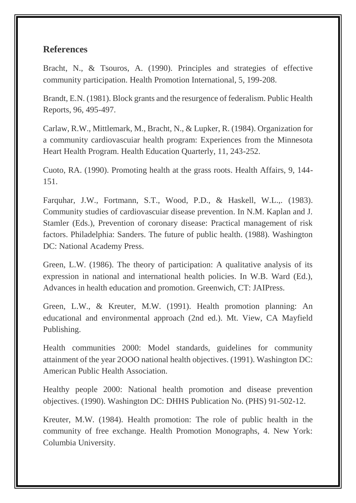## **References**

Bracht, N., & Tsouros, A. (1990). Principles and strategies of effective community participation. Health Promotion International, 5, 199-208.

Brandt, E.N. (1981). Block grants and the resurgence of federalism. Public Health Reports, 96, 495-497.

Carlaw, R.W., Mittlemark, M., Bracht, N., & Lupker, R. (1984). Organization for a community cardiovascuiar health program: Experiences from the Minnesota Heart Health Program. Health Education Quarterly, 11, 243-252.

Cuoto, RA. (1990). Promoting health at the grass roots. Health Affairs, 9, 144- 151.

Farquhar, J.W., Fortmann, S.T., Wood, P.D., & Haskell, W.L.,. (1983). Community studies of cardiovascuiar disease prevention. In N.M. Kaplan and J. Stamler (Eds.), Prevention of coronary disease: Practical management of risk factors. Philadelphia: Sanders. The future of public health. (1988). Washington DC: National Academy Press.

Green, L.W. (1986). The theory of participation: A qualitative analysis of its expression in national and international health policies. In W.B. Ward (Ed.), Advances in health education and promotion. Greenwich, CT: JAIPress.

Green, L.W., & Kreuter, M.W. (1991). Health promotion planning: An educational and environmental approach (2nd ed.). Mt. View, CA Mayfield Publishing.

Health communities 2000: Model standards, guidelines for community attainment of the year 2OOO national health objectives. (1991). Washington DC: American Public Health Association.

Healthy people 2000: National health promotion and disease prevention objectives. (1990). Washington DC: DHHS Publication No. (PHS) 91-502-12.

Kreuter, M.W. (1984). Health promotion: The role of public health in the community of free exchange. Health Promotion Monographs, 4. New York: Columbia University.